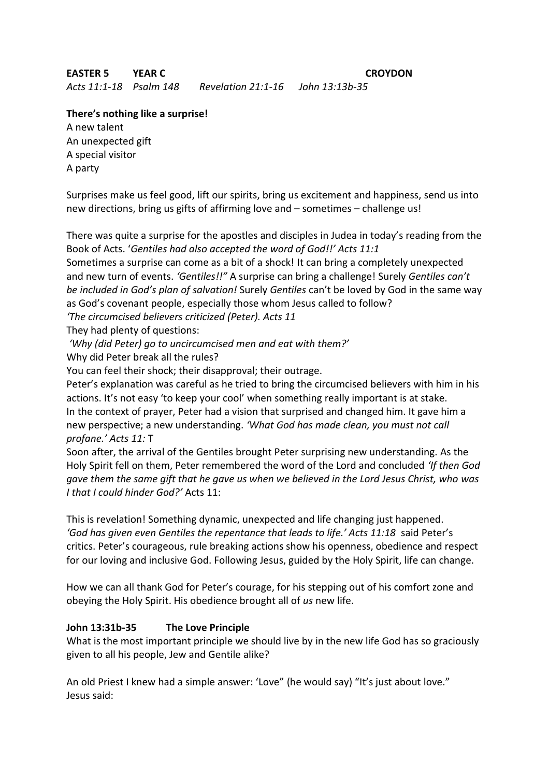## **EASTER 5 YEAR C CROYDON**

*Acts 11:1-18 Psalm 148 Revelation 21:1-16 John 13:13b-35*

## **There's nothing like a surprise!**

A new talent An unexpected gift A special visitor A party

Surprises make us feel good, lift our spirits, bring us excitement and happiness, send us into new directions, bring us gifts of affirming love and – sometimes – challenge us!

There was quite a surprise for the apostles and disciples in Judea in today's reading from the Book of Acts. '*Gentiles had also accepted the word of God!!' Acts 11:1*

Sometimes a surprise can come as a bit of a shock! It can bring a completely unexpected and new turn of events. *'Gentiles!!"* A surprise can bring a challenge! Surely *Gentiles can't be included in God's plan of salvation!* Surely *Gentiles* can't be loved by God in the same way as God's covenant people, especially those whom Jesus called to follow?

*'The circumcised believers criticized (Peter). Acts 11*

They had plenty of questions:

*'Why (did Peter) go to uncircumcised men and eat with them?'*

Why did Peter break all the rules?

You can feel their shock; their disapproval; their outrage.

Peter's explanation was careful as he tried to bring the circumcised believers with him in his actions. It's not easy 'to keep your cool' when something really important is at stake. In the context of prayer, Peter had a vision that surprised and changed him. It gave him a new perspective; a new understanding. *'What God has made clean, you must not call profane.' Acts 11:* T

Soon after, the arrival of the Gentiles brought Peter surprising new understanding. As the Holy Spirit fell on them, Peter remembered the word of the Lord and concluded *'If then God gave them the same gift that he gave us when we believed in the Lord Jesus Christ, who was I that I could hinder God?'* Acts 11:

This is revelation! Something dynamic, unexpected and life changing just happened. *'God has given even Gentiles the repentance that leads to life.' Acts 11:18* said Peter's critics. Peter's courageous, rule breaking actions show his openness, obedience and respect for our loving and inclusive God. Following Jesus, guided by the Holy Spirit, life can change.

How we can all thank God for Peter's courage, for his stepping out of his comfort zone and obeying the Holy Spirit. His obedience brought all of *us* new life.

## **John 13:31b-35 The Love Principle**

What is the most important principle we should live by in the new life God has so graciously given to all his people, Jew and Gentile alike?

An old Priest I knew had a simple answer: 'Love" (he would say) "It's just about love." Jesus said: